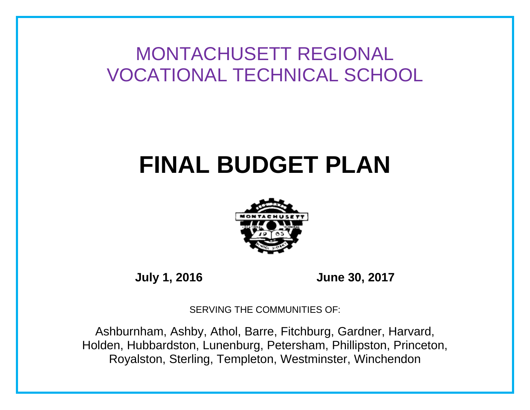MONTACHUSETT REGIONAL VOCATIONAL TECHNICAL SCHOOL

# **FINAL BUDGET PLAN**



**July 1, 2016 June 30, 2017**

SERVING THE COMMUNITIES OF:

Ashburnham, Ashby, Athol, Barre, Fitchburg, Gardner, Harvard, Holden, Hubbardston, Lunenburg, Petersham, Phillipston, Princeton, Royalston, Sterling, Templeton, Westminster, Winchendon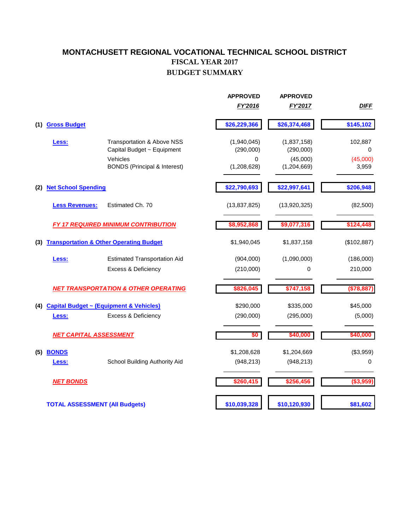### **FISCAL YEAR 2017 BUDGET SUMMARY MONTACHUSETT REGIONAL VOCATIONAL TECHNICAL SCHOOL DISTRICT**

|     |                                       |                                                    | <b>APPROVED</b>  | <b>APPROVED</b>         |                   |
|-----|---------------------------------------|----------------------------------------------------|------------------|-------------------------|-------------------|
|     |                                       |                                                    | FY'2016          | FY'2017                 | <b>DIFF</b>       |
| (1) | <b>Gross Budget</b>                   |                                                    | \$26,229,366     | \$26,374,468            | \$145,102         |
|     | Less:                                 | Transportation & Above NSS                         | (1,940,045)      | (1,837,158)             | 102,887           |
|     |                                       | Capital Budget ~ Equipment                         | (290,000)        | (290,000)               | $\Omega$          |
|     |                                       | Vehicles<br><b>BONDS</b> (Principal & Interest)    | 0<br>(1,208,628) | (45,000)<br>(1,204,669) | (45,000)<br>3,959 |
| (2) | <b>Net School Spending</b>            |                                                    | \$22,790,693     | \$22,997,641            | \$206,948         |
|     | <b>Less Revenues:</b>                 | Estimated Ch. 70                                   | (13, 837, 825)   | (13,920,325)            | (82,500)          |
|     |                                       | <b>FY 17 REQUIRED MINIMUM CONTRIBUTION</b>         | \$8,952,868      | \$9,077,316             | \$124,448         |
| (3) |                                       | <b>Transportation &amp; Other Operating Budget</b> | \$1,940,045      | \$1,837,158             | (\$102,887)       |
|     | <u>Less:</u>                          | <b>Estimated Transportation Aid</b>                | (904,000)        | (1,090,000)             | (186,000)         |
|     |                                       | <b>Excess &amp; Deficiency</b>                     | (210,000)        | 0                       | 210,000           |
|     |                                       | <b>NET TRANSPORTATION &amp; OTHER OPERATING</b>    | \$826,045        | \$747,158               | (\$78,887)        |
| (4) |                                       | <b>Capital Budget ~ (Equipment &amp; Vehicles)</b> | \$290,000        | \$335,000               | \$45,000          |
|     | Less:                                 | Excess & Deficiency                                | (290,000)        | (295,000)               | (5,000)           |
|     | <b>NET CAPITAL ASSESSMENT</b>         |                                                    | \$0              | \$40,000                | \$40,000          |
| (5) | <b>BONDS</b>                          |                                                    | \$1,208,628      | \$1,204,669             | (\$3,959)         |
|     | Less:                                 | School Building Authority Aid                      | (948, 213)       | (948, 213)              | 0                 |
|     | <b>NET BONDS</b>                      |                                                    | \$260,415        | \$256,456               | (\$3,959)         |
|     | <b>TOTAL ASSESSMENT (All Budgets)</b> |                                                    | \$10,039,328     | \$10,120,930            | \$81,602          |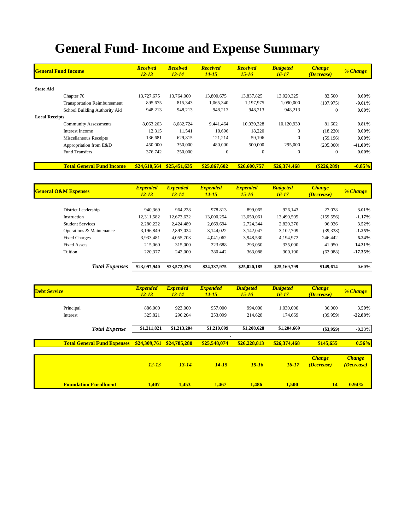## **General Fund- Income and Expense Summary**

| <b>General Fund Income</b>          | <b>Received</b><br>$12 - 13$ | <b>Received</b><br><b>Received</b><br><b>Received</b><br>$13 - 14$<br>$14 - 15$<br>$15 - 16$ |              | <b>Budgeted</b><br>$16 - 17$ | <b>Change</b><br><i>(Decrease)</i> | % Change      |            |
|-------------------------------------|------------------------------|----------------------------------------------------------------------------------------------|--------------|------------------------------|------------------------------------|---------------|------------|
| <b>State Aid</b>                    |                              |                                                                                              |              |                              |                                    |               |            |
| Chapter 70                          | 13,727,675                   | 13,764,000                                                                                   | 13,800,675   | 13,837,825                   | 13,920,325                         | 82,500        | $0.60\%$   |
| <b>Transportation Reimbursement</b> | 895,675                      | 815,343                                                                                      | 1,065,340    | 1,197,975                    | 1,090,000                          | (107, 975)    | $-9.01\%$  |
| School Building Authority Aid       | 948,213                      | 948,213                                                                                      | 948,213      | 948,213                      | 948,213                            | $\Omega$      | $0.00\%$   |
| <b>Local Receipts</b>               |                              |                                                                                              |              |                              |                                    |               |            |
| <b>Community Assessments</b>        | 8,063,263                    | 8,682,724                                                                                    | 9.441.464    | 10,039,328                   | 10,120,930                         | 81,602        | $0.81\%$   |
| Interest Income                     | 12,315                       | 11,541                                                                                       | 10,696       | 18,220                       | $\mathbf{0}$                       | (18,220)      | $0.00\%$   |
| Miscellaneous Receipts              | 136,681                      | 629,815                                                                                      | 121,214      | 59,196                       | $\mathbf{0}$                       | (59,196)      | $0.00\%$   |
| Appropriation from E&D              | 450,000                      | 350,000                                                                                      | 480,000      | 500,000                      | 295,000                            | (205,000)     | $-41.00\%$ |
| <b>Fund Transfers</b>               | 376,742                      | 250,000                                                                                      | $\Omega$     | $\mathbf{0}$                 | $\mathbf{0}$                       | $\Omega$      | $0.00\%$   |
| <b>Total General Fund Income</b>    | \$24,610,564                 | \$25,451,635                                                                                 | \$25,867,602 | \$26,600,757                 | \$26,374,468                       | $(\$226,289)$ | $-0.85%$   |

| <b>General O&amp;M Expenses</b> | <b>Expended</b><br>$12 - 13$ | <b>Expended</b><br>$13 - 14$ | <b>Expended</b><br>$14 - 15$ | <b>Expended</b><br>$15 - 16$ | <b>Budgeted</b><br>$16 - 17$ | <b>Change</b><br><i>(Decrease)</i> | <b>% Change</b> |
|---------------------------------|------------------------------|------------------------------|------------------------------|------------------------------|------------------------------|------------------------------------|-----------------|
|                                 |                              |                              |                              |                              |                              |                                    |                 |
| District Leadership             | 940,369                      | 964,228                      | 978,813                      | 899,065                      | 926.143                      | 27,078                             | $3.01\%$        |
| Instruction                     | 12,311,582                   | 12,673,632                   | 13.000.254                   | 13,650,061                   | 13,490,505                   | (159, 556)                         | $-1.17%$        |
| <b>Student Services</b>         | 2,280,222                    | 2,424,489                    | 2.669.694                    | 2,724,344                    | 2,820,370                    | 96.026                             | $3.52\%$        |
| Operations & Maintenance        | 3.196.849                    | 2,897,024                    | 3.144.022                    | 3.142.047                    | 3.102.709                    | (39, 338)                          | $-1.25%$        |
| <b>Fixed Charges</b>            | 3,933,481                    | 4,055,703                    | 4.041.062                    | 3.948.530                    | 4,194,972                    | 246,442                            | 6.24%           |
| <b>Fixed Assets</b>             | 215,060                      | 315,000                      | 223.688                      | 293,050                      | 335,000                      | 41.950                             | 14.31%          |
| Tuition                         | 220,377                      | 242,000                      | 280,442                      | 363,088                      | 300,100                      | (62,988)                           | $-17.35%$       |
| <b>Total Expenses</b>           | \$23,097,940                 | \$23,572,076                 | \$24,337,975                 | \$25,020,185                 | \$25,169,799                 | \$149,614                          | $0.60\%$        |

| <b>Debt Service</b> |                                    | <b>Expended</b><br>$12 - 13$ | <b>Expended</b><br>$13 - 14$ | <b>Expended</b><br>14-15 | <b>Budgeted</b><br>$15 - 16$ | <b>Budgeted</b><br>$16 - 17$ | <b>Change</b><br><i>(Decrease)</i> | % Change  |
|---------------------|------------------------------------|------------------------------|------------------------------|--------------------------|------------------------------|------------------------------|------------------------------------|-----------|
| Principal           |                                    | 886,000                      | 923,000                      | 957,000                  | 994,000                      | 1,030,000                    | 36,000                             | 3.50%     |
| Interest            |                                    | 325,821                      | 290.204                      | 253,099                  | 214,628                      | 174,669                      | (39,959)                           | $-22.88%$ |
|                     | <b>Total Expense</b>               | \$1,211,821                  | \$1,213,204                  | \$1,210,099              | \$1,208,628                  | \$1,204,669                  | (33,959)                           | $-0.33%$  |
|                     | <b>Total General Fund Expenses</b> | \$24,309,761                 | \$24,785,280                 | \$25,548,074             | \$26,228,813                 | \$26,374,468                 | \$145,655                          | 0.56%     |

|                              |              |          |             |       |           | <b>Change</b> | <b>Change</b>            |
|------------------------------|--------------|----------|-------------|-------|-----------|---------------|--------------------------|
|                              | 12-13        | $3 - 14$ | 14-15       | 15-16 | $16 - 17$ | (Decrease)    | <i><b>(Decrease)</b></i> |
|                              |              |          |             |       |           |               |                          |
|                              |              |          |             |       |           |               |                          |
| <b>Foundation Enrollment</b> | <b>1,407</b> | 1,453    | <b>.467</b> | ,486  | 1,500     |               | 0.94%                    |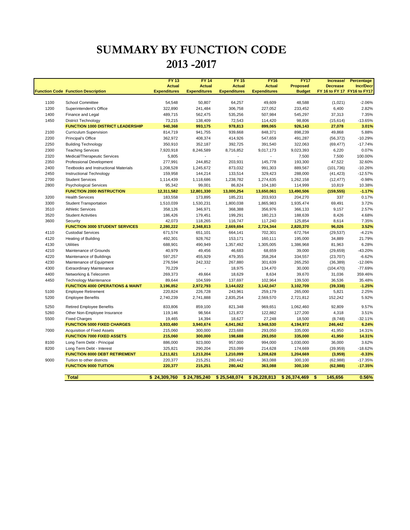### **SUMMARY BY FUNCTION CODE 2013 -2017**

|      | <b>Function Code Function Description</b>                  | <b>FY 13</b><br><b>Actual</b><br><b>Expenditures</b> | <b>FY 14</b><br><b>Actual</b><br><b>Expenditures</b> | <b>FY 15</b><br><b>Actual</b><br><b>Expenditures</b> | <b>FY16</b><br><b>Actual</b><br><b>Expenditures</b> | <b>FY17</b><br><b>Proposed</b><br><b>Budget</b> | Increase/<br><b>Decrease</b><br>FY 16 to FY 17 FY16 to FY17 | Percentage<br><b>Incr/Decr</b> |
|------|------------------------------------------------------------|------------------------------------------------------|------------------------------------------------------|------------------------------------------------------|-----------------------------------------------------|-------------------------------------------------|-------------------------------------------------------------|--------------------------------|
| 1100 | <b>School Committee</b>                                    | 54,548                                               | 50,807                                               | 64,257                                               | 49,609                                              | 48,588                                          | (1,021)                                                     | $-2.06%$                       |
| 1200 | Superintendent's Office                                    | 322,890                                              | 241,484                                              | 306,758                                              | 227,052                                             | 233,452                                         | 6,400                                                       | 2.82%                          |
| 1400 | Finance and Legal                                          | 489,715                                              | 562,475                                              | 535,256                                              | 507,984                                             | 545,297                                         | 37,313                                                      | 7.35%                          |
| 1450 | <b>District Technology</b>                                 | 73,215                                               | 138,409                                              | 72,543                                               | 114,420                                             | 98,806                                          | (15, 614)                                                   | $-13.65%$                      |
|      | <b>FUNCTION 1000 DISTRICT LEADERSHIP</b>                   | 940,368                                              | 993,175                                              | 978,813                                              | 899,065                                             | 926,143                                         | 27,078                                                      | 3.01%                          |
| 2100 | <b>Curriculum Supervision</b>                              | 814,719                                              | 941,755                                              | 939,668                                              | 848,371                                             | 898,239                                         | 49,868                                                      | 5.88%                          |
| 2200 | Principal's Office                                         | 362,972                                              | 408,374                                              | 414,926                                              | 547,659                                             | 491,287                                         | (56, 372)                                                   | $-10.29%$                      |
| 2250 | <b>Building Technology</b>                                 | 350,910                                              | 352,187                                              | 392,725                                              | 391,540                                             | 322,063                                         | (69, 477)                                                   | $-17.74%$                      |
| 2300 | <b>Teaching Services</b>                                   | 7,920,918                                            | 8,246,589                                            | 8,716,852                                            | 9,017,173                                           | 9,023,393                                       | 6,220                                                       | 0.07%                          |
| 2320 | Medical/Therapeutic Services                               | 5,805                                                |                                                      |                                                      |                                                     | 7,500                                           | 7,500                                                       | 100.00%                        |
| 2350 | Professional Development                                   | 277,991                                              | 244,852                                              | 203,931                                              | 145,778                                             | 193,300                                         | 47,522                                                      | 32.60%                         |
| 2400 | <b>Textbooks and Instructional Materials</b>               | 1,208,528                                            | 1,245,672                                            | 873,032                                              | 991,303                                             | 889,567                                         | (101, 736)                                                  | $-10.26%$                      |
| 2450 | Instructional Technology                                   | 159,958                                              | 144,214                                              | 133,514                                              | 329,423                                             | 288,000                                         | (41, 423)                                                   | $-12.57%$                      |
| 2700 | <b>Student Services</b>                                    | 1,114,439                                            | 1,118,686                                            | 1,238,782                                            | 1,274,635                                           | 1,262,158                                       | (12, 477)                                                   | $-0.98%$                       |
| 2800 | <b>Psychological Services</b>                              | 95,342                                               | 99,001                                               | 86,824                                               | 104,180                                             | 114,999                                         | 10,819                                                      | 10.38%                         |
|      | <b>FUNCTION 2000 INSTRUCTION</b>                           | 12,311,582                                           | 12,801,330                                           | 13,000,254                                           | 13,650,061                                          | 13,490,506                                      | (159, 555)                                                  | $-1.17%$                       |
| 3200 | <b>Health Services</b>                                     | 183,558                                              | 173,895                                              | 185,231                                              | 203,933                                             | 204,270                                         | 337                                                         | 0.17%                          |
| 3300 | <b>Student Transportation</b>                              | 1,510,039                                            | 1,530,231                                            | 1,800,038                                            | 1,865,983                                           | 1,935,474                                       | 69,491                                                      | 3.72%                          |
| 3510 | <b>Athletic Services</b>                                   | 358,126                                              | 346,971                                              | 368,388                                              | 356,976                                             | 366,133                                         | 9,157                                                       | 2.57%                          |
| 3520 | <b>Student Activities</b>                                  | 186,426                                              | 179,451                                              | 199,291                                              | 180,213                                             | 188,639                                         | 8,426                                                       | 4.68%                          |
| 3600 | Security                                                   | 42,073                                               | 118,265                                              | 116,747                                              | 117,240                                             | 125,854                                         | 8,614                                                       | 7.35%                          |
|      | <b>FUNCTION 3000 STUDENT SERVICES</b>                      | 2,280,222                                            | 2,348,813                                            | 2,669,694                                            | 2,724,344                                           | 2,820,370                                       | 96,026                                                      | 3.52%                          |
| 4110 | <b>Custodial Services</b>                                  | 671,574                                              | 651,101                                              | 664,141                                              | 702,301                                             | 672,764                                         | (29, 537)                                                   | $-4.21%$                       |
| 4120 | <b>Heating of Building</b>                                 | 492,301                                              | 928,762                                              | 153,171                                              | 160,111                                             | 195,000                                         | 34,889                                                      | 21.79%                         |
| 4130 | <b>Utilities</b>                                           | 688,901                                              | 490,949                                              | 1,357,492                                            | 1,305,005                                           | 1,386,968                                       | 81,963                                                      | 6.28%                          |
| 4210 | Maintenance of Grounds                                     | 40,979                                               | 49,456                                               | 46,683                                               | 68,659                                              | 39,000                                          | (29, 659)                                                   | $-43.20%$                      |
| 4220 | Maintenance of Buildings                                   | 597,257                                              | 455,929                                              | 479,355                                              | 358,264                                             | 334,557                                         | (23, 707)                                                   | $-6.62%$                       |
| 4230 | Maintenance of Equipment                                   | 276,594                                              | 242,332                                              | 267,880                                              | 301,639                                             | 265,250                                         | (36, 389)                                                   | $-12.06%$                      |
| 4300 | <b>Extraordinary Maintenance</b>                           | 70,229                                               |                                                      | 18,975                                               | 134,470                                             | 30,000                                          | (104, 470)                                                  | $-77.69%$                      |
| 4400 | Networking & Telecomm                                      | 269,373                                              | 49,664                                               | 18,629                                               | 8,634                                               | 39,670                                          | 31,036                                                      | 359.46%                        |
| 4450 | <b>Technology Maintenance</b>                              | 89,644                                               | 104,599                                              | 137,697                                              | 102,964                                             | 139,500                                         | 36,536                                                      | 35.48%                         |
|      | <b>FUNCTION 4000 OPERATIONS &amp; MAINT</b>                | 3,196,852                                            | 2,972,793                                            | 3,144,022                                            | 3,142,047                                           | 3,102,709                                       | (39, 338)                                                   | $-1.25%$                       |
| 5100 | <b>Employee Retirement</b>                                 | 220,824                                              | 226,728                                              | 243,961                                              | 259,179                                             | 265,000                                         | 5,821                                                       | 2.25%                          |
| 5200 | <b>Employee Benefits</b>                                   | 2,740,239                                            | 2,741,888                                            | 2,835,254                                            | 2,569,570                                           | 2,721,812                                       | 152,242                                                     | 5.92%                          |
| 5250 | <b>Retired Employee Benefits</b>                           | 833,806                                              | 859,100                                              | 821,348                                              | 969,651                                             | 1,062,460                                       | 92,809                                                      | 9.57%                          |
| 5260 | Other Non-Employee Insurance                               | 119,146                                              | 98,564                                               | 121,872                                              | 122,882                                             | 127,200                                         | 4,318                                                       | 3.51%                          |
| 5500 | <b>Fixed Charges</b><br><b>FUNCTION 5000 FIXED CHARGES</b> | 19,465<br>3,933,480                                  | 14,394<br>3,940,674                                  | 18,627<br>4,041,062                                  | 27,248<br>3,948,530                                 | 18,500<br>4,194,972                             | (8,748)<br>246,442                                          | $-32.11%$<br>6.24%             |
| 7000 | Acquisition of Fixed Assets                                | 215,060                                              | 300,000                                              | 223,688                                              | 293,050                                             | 335,000                                         | 41,950                                                      | 14.31%                         |
|      | <b>FUNCTION 7000 FIXED ASSETS</b>                          | 215,060                                              | 300,000                                              | 198,688                                              | 293,050                                             | 335,000                                         | 41,950                                                      | 14.31%                         |
| 8100 | Long Term Debt - Principal                                 | 886,000                                              | 923,000                                              | 957,000                                              | 994,000                                             | 1,030,000                                       | 36,000                                                      | 3.62%                          |
| 8200 | Long Term Debt - Interest                                  | 325,821                                              | 290,204                                              | 253,099                                              | 214,628                                             | 174,669                                         | (39, 959)                                                   | $-18.62%$                      |
|      | <b>FUNCTION 8000 DEBT RETIREMENT</b>                       | 1,211,821                                            | 1,213,204                                            | 1,210,099                                            | 1,208,628                                           | 1,204,669                                       | (3,959)                                                     | $-0.33%$                       |
| 9000 | Tuition to other districts                                 | 220,377                                              | 215,251                                              | 280,442                                              | 363,088                                             | 300,100                                         | (62, 988)                                                   | $-17.35%$                      |
|      | <b>FUNCTION 9000 TUITION</b>                               | 220,377                                              | 215,251                                              | 280,442                                              | 363,088                                             | 300,100                                         | (62, 988)                                                   | $-17.35%$                      |
|      |                                                            |                                                      |                                                      |                                                      |                                                     |                                                 |                                                             |                                |
|      | <b>Total</b>                                               | \$24,309,760                                         | \$24,785,240                                         | \$25,548,074                                         | \$26,228,813                                        | \$26,374,469                                    | \$<br>145,656                                               | 0.56%                          |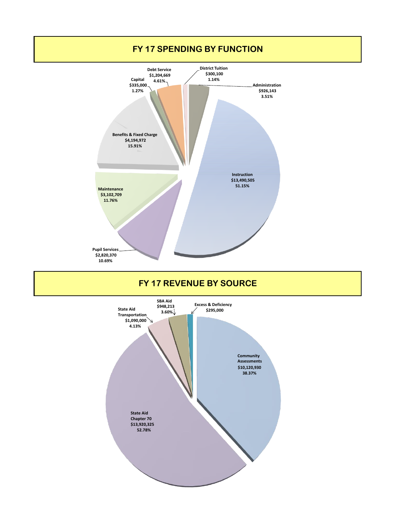

**Chapter 70 \$13,920,325 52.78%**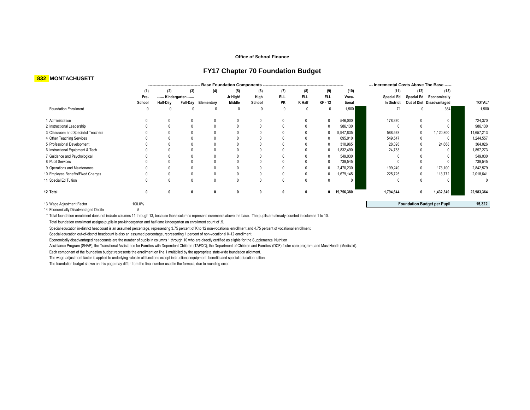#### **Office of School Finance**

#### **FY17 Chapter 70 Foundation Budget**

#### **832 MONTACHUSETT**

|                                     |        |          |                            |                     |          |        |              |            |              |            | --- Incremental Costs Above The Base ----- |                   |                                    |               |
|-------------------------------------|--------|----------|----------------------------|---------------------|----------|--------|--------------|------------|--------------|------------|--------------------------------------------|-------------------|------------------------------------|---------------|
|                                     | (1)    | (2)      | (3)                        | (4)                 | (5)      | (6)    | (7)          | (8)        | (9)          | (10)       | (11)                                       | (12)              | (13)                               |               |
|                                     | Pre-   |          | ------ Kindergarten ------ |                     | Jr High/ | High   | <b>ELL</b>   | <b>ELL</b> | <b>ELL</b>   | Voca-      | <b>Special Ed</b>                          | <b>Special Ed</b> | Economically                       |               |
|                                     | School | Half-Day |                            | Full-Day Elementary | Middle   | School | PK           | K Half     | KF - 12      | tional     | In District                                |                   | Out of Dist Disadvantaged          | <b>TOTAL'</b> |
| <b>Foundation Enrollment</b>        |        |          |                            |                     |          |        |              | 0          | $\mathbf{0}$ | 1,500      | 71                                         |                   | 364                                | 1,500         |
| 1 Administration                    |        |          |                            |                     |          |        | $\mathbf{0}$ |            |              | 546,000    | 178,370                                    | $\mathbf{0}$      | 0                                  | 724,370       |
| 2 Instructional Leadership          |        |          |                            |                     |          |        | $\mathbf{0}$ |            |              | 986,130    |                                            |                   | $\mathbf{0}$                       | 986,130       |
| 3 Classroom and Specialist Teachers |        |          |                            |                     |          |        | 0            |            |              | 9,947,835  | 588,578                                    |                   | 1,120,800                          | 11,657,213    |
| 4 Other Teaching Services           |        |          |                            |                     |          |        |              |            |              | 695,010    | 549,547                                    |                   | $\mathbf{0}$                       | 1,244,557     |
| 5 Professional Development          |        |          |                            |                     |          |        |              |            |              | 310,965    | 28,393                                     |                   | 24,668                             | 364,026       |
| 6 Instructional Equipment & Tech    |        |          |                            |                     |          |        |              |            |              | 1,832,490  | 24,783                                     |                   | $\Omega$                           | 1,857,273     |
| 7 Guidance and Psychological        |        |          |                            |                     |          |        |              |            |              | 549,030    |                                            |                   | 0                                  | 549,030       |
| 8 Pupil Services                    |        |          |                            |                     |          |        |              |            |              | 739,545    |                                            |                   | 0                                  | 739,545       |
| 9 Operations and Maintenance        |        |          |                            |                     |          |        | 0            |            |              | 2,470,230  | 199,249                                    |                   | 173,100                            | 2,842,579     |
| 10 Employee Benefits/Fixed Charges  |        |          |                            |                     |          |        |              |            |              | 1,679,145  | 225,725                                    |                   | 113,772                            | 2,018,641     |
| 11 Special Ed Tuition               |        |          |                            |                     |          |        | $\Omega$     |            |              |            |                                            | $\mathsf{O}$      | $\mathbf{0}$                       |               |
| 12 Total                            |        |          |                            |                     |          |        | 0            | 0          | 0            | 19,756,380 | 1,794,644                                  | 0                 | 1,432,340                          | 22,983,364    |
| 13 Wage Adjustment Factor           | 100.0% |          |                            |                     |          |        |              |            |              |            |                                            |                   | <b>Foundation Budget per Pupil</b> | 15,322        |

13 Vrage Adjustment Factor<br>14 Economically Disadvantaged Decile 5

\* Total foundation enrollment does not include columns 11 through 13, because those columns represent increments above the base. The pupils are already counted in columns 1 to 10.

Total foundation enrollment assigns pupils in pre-kindergarten and half-time kindergarten an enrollment count of .5.

Special education in-district headcount is an assumed percentage, representing 3.75 percent of K to 12 non-vocational enrollment and 4.75 percent of vocational enrollment.

Special education out-of-district headcount is also an assumed percentage, representing 1 percent of non-vocational K-12 enrollment.

Economically disadvantaged headcounts are the number of pupils in columns 1 through 10 who are directly certified as eligble for the Supplemental Nutrition

Assistance Program (SNAP); the Transitional Assistance for Families with Dependent Children (TAFDC); the Department of Children and Families' (DCF) foster care program; and MassHealth (Medicaid).

Each component of the foundation budget represents the enrollment on line 1 multiplied by the appropriate state-wide foundation allotment.

The wage adjustment factor is applied to underlying rates in all functions except instructional equipment, benefits and special education tuition.

The foundation budget shown on this page may differ from the final number used in the formula, due to rounding error.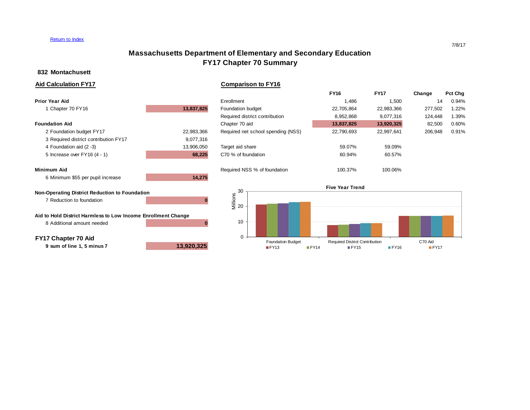#### Return to Index

### **Massachusetts Department of Elementary and Secondary Education FY17 Chapter 70 Summary**

#### **832 Montachusett**

**Aid Calculation FY17 Comparison to FY16**

|            |                                    | <b>FY16</b> | <b>FY17</b> | Change  | Pct Chg |
|------------|------------------------------------|-------------|-------------|---------|---------|
|            | Enrollment                         | 1.486       | 1,500       | 14      | 0.94%   |
| 13,837,825 | Foundation budget                  | 22,705,864  | 22,983,366  | 277,502 | 1.22%   |
|            | Required district contribution     | 8,952,868   | 9.077.316   | 124.448 | 1.39%   |
|            | Chapter 70 aid                     | 13,837,825  | 13,920,325  | 82,500  | 0.60%   |
| 22,983,366 | Required net school spending (NSS) | 22,790,693  | 22.997.641  | 206,948 | 0.91%   |
| 9,077,316  |                                    |             |             |         |         |
| 13,906,050 | Target aid share                   | 59.07%      | 59.09%      |         |         |
| 68,225     | C70 % of foundation                | 60.94%      | 60.57%      |         |         |
|            | Required NSS % of foundation       | 100.37%     | 100.06%     |         |         |
| 14,275     |                                    |             |             |         |         |
|            |                                    |             |             |         |         |

#### **Non-Operating District Reduction to Foundation** 7 Reduction to foundation **0**

**Aid to Hold District Harmless to Low Income Enrollment Change** 8 Additional amount needed **0**

**FY17 Chapter 70 Aid**

**9 sum of line 1, 5 minus 7 13,920,325**



7/8/17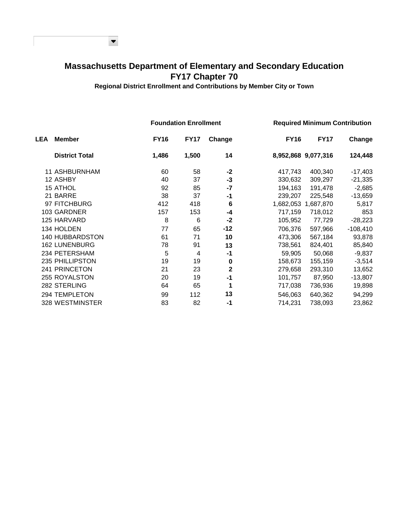### **Massachusetts Department of Elementary and Secondary Education FY17 Chapter 70**

 $\blacktriangledown$ 

**Regional District Enrollment and Contributions by Member City or Town**

|            |                        |             | <b>Foundation Enrollment</b> |             |             |                     | <b>Required Minimum Contribution</b> |
|------------|------------------------|-------------|------------------------------|-------------|-------------|---------------------|--------------------------------------|
| <b>LEA</b> | <b>Member</b>          | <b>FY16</b> | <b>FY17</b>                  | Change      | <b>FY16</b> | <b>FY17</b>         | Change                               |
|            | <b>District Total</b>  | 1,486       | 1,500                        | 14          |             | 8,952,868 9,077,316 | 124,448                              |
|            | 11 ASHBURNHAM          | 60          | 58                           | -2          | 417,743     | 400,340             | -17,403                              |
|            | 12 ASHBY               | 40          | 37                           | $-3$        | 330,632     | 309,297             | $-21,335$                            |
|            | <b>15 ATHOL</b>        | 92          | 85                           | $-7$        | 194,163     | 191,478             | $-2,685$                             |
|            | 21 BARRE               | 38          | 37                           | $-1$        | 239,207     | 225,548             | $-13,659$                            |
|            | 97 FITCHBURG           | 412         | 418                          | 6           | 1,682,053   | 1,687,870           | 5,817                                |
|            | 103 GARDNER            | 157         | 153                          | -4          | 717,159     | 718,012             | 853                                  |
|            | 125 HARVARD            | 8           | 6                            | $-2$        | 105,952     | 77,729              | $-28,223$                            |
|            | 134 HOLDEN             | 77          | 65                           | $-12$       | 706,376     | 597,966             | $-108,410$                           |
|            | <b>140 HUBBARDSTON</b> | 61          | 71                           | 10          | 473,306     | 567,184             | 93,878                               |
|            | <b>162 LUNENBURG</b>   | 78          | 91                           | 13          | 738,561     | 824,401             | 85,840                               |
|            | 234 PETERSHAM          | 5           | 4                            | -1          | 59,905      | 50,068              | $-9,837$                             |
|            | 235 PHILLIPSTON        | 19          | 19                           | $\bf{0}$    | 158,673     | 155,159             | $-3,514$                             |
|            | 241 PRINCETON          | 21          | 23                           | $\mathbf 2$ | 279,658     | 293,310             | 13,652                               |
|            | 255 ROYALSTON          | 20          | 19                           | $-1$        | 101,757     | 87,950              | $-13,807$                            |
|            | 282 STERLING           | 64          | 65                           | 1           | 717,038     | 736,936             | 19,898                               |
|            | 294 TEMPLETON          | 99          | 112                          | 13          | 546,063     | 640,362             | 94,299                               |
|            | 328 WESTMINSTER        | 83          | 82                           | -1          | 714,231     | 738,093             | 23,862                               |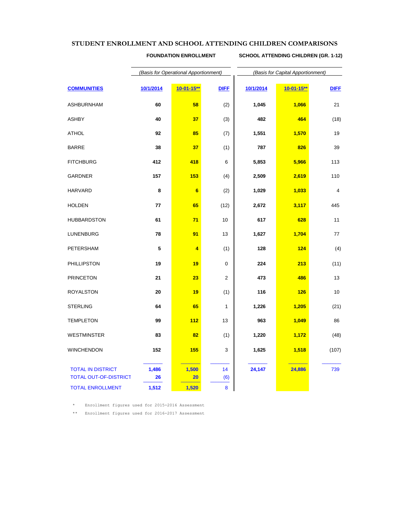#### **STUDENT ENROLLMENT AND SCHOOL ATTENDING CHILDREN COMPARISONS**

**FOUNDATION ENROLLMENT SCHOOL ATTENDING CHILDREN (GR. 1-12)**

|                                                          | (Basis for Operational Apportionment) |                  |                | (Basis for Capital Apportionment) |                  |             |  |  |
|----------------------------------------------------------|---------------------------------------|------------------|----------------|-----------------------------------|------------------|-------------|--|--|
| <b>COMMUNITIES</b>                                       | 10/1/2014                             | $10 - 01 - 15**$ | <b>DIFF</b>    | 10/1/2014                         | $10 - 01 - 15**$ | <b>DIFF</b> |  |  |
| <b>ASHBURNHAM</b>                                        | 60                                    | 58               | (2)            | 1,045                             | 1,066            | 21          |  |  |
| <b>ASHBY</b>                                             | 40                                    | 37               | (3)            | 482                               | 464              | (18)        |  |  |
| <b>ATHOL</b>                                             | 92                                    | 85               | (7)            | 1,551                             | 1,570            | 19          |  |  |
| <b>BARRE</b>                                             | 38                                    | 37               | (1)            | 787                               | 826              | 39          |  |  |
| <b>FITCHBURG</b>                                         | 412                                   | 418              | 6              | 5,853                             | 5,966            | 113         |  |  |
| <b>GARDNER</b>                                           | 157                                   | 153              | (4)            | 2,509                             | 2,619            | 110         |  |  |
| <b>HARVARD</b>                                           | 8                                     | $6\phantom{a}$   | (2)            | 1,029                             | 1,033            | 4           |  |  |
| <b>HOLDEN</b>                                            | 77                                    | 65               | (12)           | 2,672                             | 3,117            | 445         |  |  |
| <b>HUBBARDSTON</b>                                       | 61                                    | 71               | 10             | 617                               | 628              | 11          |  |  |
| <b>LUNENBURG</b>                                         | 78                                    | 91               | 13             | 1,627                             | 1,704            | 77          |  |  |
| PETERSHAM                                                | 5                                     | 4                | (1)            | 128                               | 124              | (4)         |  |  |
| PHILLIPSTON                                              | 19                                    | 19               | 0              | 224                               | 213              | (11)        |  |  |
| <b>PRINCETON</b>                                         | 21                                    | 23               | $\overline{2}$ | 473                               | 486              | 13          |  |  |
| <b>ROYALSTON</b>                                         | 20                                    | 19               | (1)            | 116                               | 126              | 10          |  |  |
| <b>STERLING</b>                                          | 64                                    | 65               | $\mathbf{1}$   | 1,226                             | 1,205            | (21)        |  |  |
| <b>TEMPLETON</b>                                         | 99                                    | 112              | 13             | 963                               | 1,049            | 86          |  |  |
| <b>WESTMINSTER</b>                                       | 83                                    | 82               | (1)            | 1,220                             | 1,172            | (48)        |  |  |
| <b>WINCHENDON</b>                                        | 152                                   | 155              | 3              | 1,625                             | 1,518            | (107)       |  |  |
| <b>TOTAL IN DISTRICT</b><br><b>TOTAL OUT-OF-DISTRICT</b> | 1,486<br>26                           | 1,500<br>20      | 14<br>(6)      | 24,147                            | 24,886           | 739         |  |  |
| <b>TOTAL ENROLLMENT</b>                                  | 1,512                                 | 1,520            | 8              |                                   |                  |             |  |  |

\* Enrollment figures used for 2015-2016 Assessment

\*\* Enrollment figures used for 2016-2017 Assessment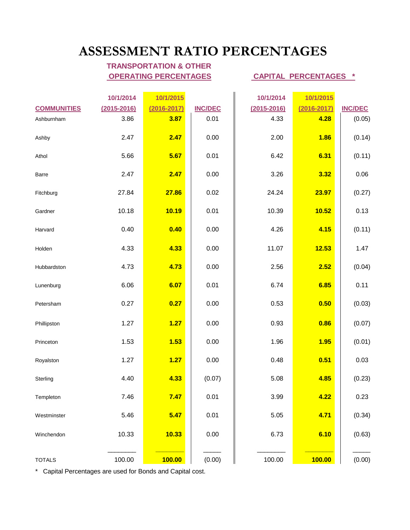## **ASSESSMENT RATIO PERCENTAGES**

### **TRANSPORTATION & OTHER OPERATING PERCENTAGES CAPITAL PERCENTAGES \***

| <b>COMMUNITIES</b><br>Ashburnham | 10/1/2014<br>$(2015 - 2016)$<br>3.86 | 10/1/2015<br>$(2016 - 2017)$<br>3.87 | <b>INC/DEC</b><br>0.01 | 10/1/2014<br>$(2015 - 2016)$<br>4.33 | 10/1/2015<br>$(2016 - 2017)$<br>4.28 | <b>INC/DEC</b><br>(0.05) |
|----------------------------------|--------------------------------------|--------------------------------------|------------------------|--------------------------------------|--------------------------------------|--------------------------|
| Ashby                            | 2.47                                 | 2.47                                 | 0.00                   | 2.00                                 | 1.86                                 | (0.14)                   |
| Athol                            | 5.66                                 | 5.67                                 | 0.01                   | 6.42                                 | 6.31                                 | (0.11)                   |
| Barre                            | 2.47                                 | 2.47                                 | 0.00                   | 3.26                                 | 3.32                                 | 0.06                     |
| Fitchburg                        | 27.84                                | 27.86                                | 0.02                   | 24.24                                | 23.97                                | (0.27)                   |
| Gardner                          | 10.18                                | 10.19                                | 0.01                   | 10.39                                | 10.52                                | 0.13                     |
| Harvard                          | 0.40                                 | 0.40                                 | 0.00                   | 4.26                                 | 4.15                                 | (0.11)                   |
| Holden                           | 4.33                                 | 4.33                                 | 0.00                   | 11.07                                | 12.53                                | 1.47                     |
| Hubbardston                      | 4.73                                 | 4.73                                 | 0.00                   | 2.56                                 | 2.52                                 | (0.04)                   |
| Lunenburg                        | 6.06                                 | 6.07                                 | 0.01                   | 6.74                                 | 6.85                                 | 0.11                     |
| Petersham                        | 0.27                                 | 0.27                                 | 0.00                   | 0.53                                 | 0.50                                 | (0.03)                   |
| Phillipston                      | 1.27                                 | 1.27                                 | 0.00                   | 0.93                                 | 0.86                                 | (0.07)                   |
| Princeton                        | 1.53                                 | 1.53                                 | 0.00                   | 1.96                                 | 1.95                                 | (0.01)                   |
| Royalston                        | 1.27                                 | 1.27                                 | 0.00                   | 0.48                                 | 0.51                                 | 0.03                     |
| Sterling                         | 4.40                                 | 4.33                                 | (0.07)                 | 5.08                                 | 4.85                                 | (0.23)                   |
| Templeton                        | 7.46                                 | 7.47                                 | 0.01                   | 3.99                                 | 4.22                                 | 0.23                     |
| Westminster                      | 5.46                                 | 5.47                                 | 0.01                   | 5.05                                 | 4.71                                 | (0.34)                   |
| Winchendon                       | 10.33                                | 10.33                                | 0.00                   | 6.73                                 | 6.10                                 | (0.63)                   |
| <b>TOTALS</b>                    | 100.00                               | <b>100.00</b>                        | (0.00)                 | 100.00                               | 100.00                               | (0.00)                   |

\* Capital Percentages are used for Bonds and Capital cost.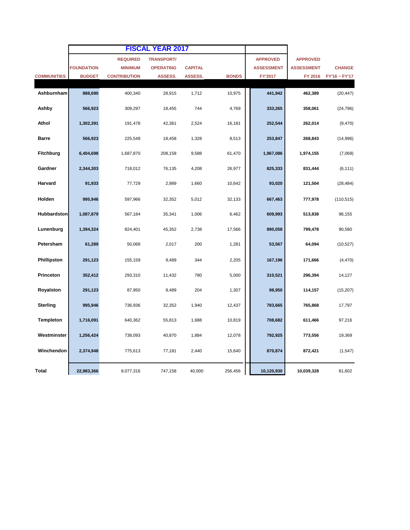|                    |                   |                     | <b>FISCAL YEAR 2017</b> |                |              |                   |                   |               |
|--------------------|-------------------|---------------------|-------------------------|----------------|--------------|-------------------|-------------------|---------------|
|                    |                   | <b>REQUIRED</b>     | <b>TRANSPORT/</b>       |                |              | <b>APPROVED</b>   | <b>APPROVED</b>   |               |
|                    | <b>FOUNDATION</b> | <b>MINIMUM</b>      | <b>OPERATING</b>        | <b>CAPITAL</b> |              | <b>ASSESSMENT</b> | <b>ASSESSMENT</b> | <b>CHANGE</b> |
| <b>COMMUNITIES</b> | <b>BUDGET</b>     | <b>CONTRIBUTION</b> | <b>ASSESS.</b>          | ASSESS.        | <b>BONDS</b> | FY'2017           | FY 2016           | FY'16 ~ FY'17 |
| Ashburnham         | 888,690           | 400,340             | 28,915                  | 1,712          | 10,975       | 441,942           | 462,389           | (20, 447)     |
| Ashby              | 566,923           | 309,297             | 18,455                  | 744            | 4,769        | 333,265           | 358,061           | (24, 796)     |
| Athol              | 1,302,391         | 191,478             | 42,361                  | 2,524          | 16,181       | 252,544           | 262,014           | (9, 470)      |
| <b>Barre</b>       | 566,923           | 225,548             | 18,458                  | 1,328          | 8,513        | 253,847           | 268,843           | (14,996)      |
| <b>Fitchburg</b>   | 6,404,698         | 1,687,870           | 208,158                 | 9,588          | 61,470       | 1,967,086         | 1,974,155         | (7,069)       |
| Gardner            | 2,344,303         | 718,012             | 76,135                  | 4,208          | 26,977       | 825,333           | 831,444           | (6, 111)      |
| Harvard            | 91,933            | 77,729              | 2,989                   | 1,660          | 10,642       | 93,020            | 121,504           | (28, 484)     |
| Holden             | 995,946           | 597,966             | 32,352                  | 5,012          | 32,133       | 667,463           | 777,978           | (110, 515)    |
| <b>Hubbardston</b> | 1,087,879         | 567,184             | 35,341                  | 1,006          | 6,462        | 609,993           | 513,838           | 96,155        |
| Lunenburg          | 1,394,324         | 824,401             | 45,352                  | 2,738          | 17,566       | 890,058           | 799,478           | 90,580        |
| Petersham          | 61,289            | 50,068              | 2,017                   | 200            | 1,281        | 53,567            | 64,094            | (10, 527)     |
| Phillipston        | 291,123           | 155,159             | 9,489                   | 344            | 2,205        | 167,196           | 171,666           | (4, 470)      |
| Princeton          | 352,412           | 293,310             | 11,432                  | 780            | 5,000        | 310,521           | 296,394           | 14,127        |
| Royalston          | 291,123           | 87,950              | 9,489                   | 204            | 1,307        | 98,950            | 114,157           | (15, 207)     |
| <b>Sterling</b>    | 995,946           | 736,936             | 32,352                  | 1,940          | 12,437       | 783,665           | 765,868           | 17,797        |
| Templeton          | 1,716,091         | 640,362             | 55,813                  | 1,688          | 10,819       | 708,682           | 611,466           | 97,216        |
| Westminster        | 1,256,424         | 738,093             | 40,870                  | 1,884          | 12,078       | 792,925           | 773,556           | 19,369        |
| Winchendon         | 2,374,948         | 775,613             | 77,181                  | 2,440          | 15,640       | 870,874           | 872,421           | (1, 547)      |
| Total              | 22,983,366        | 9,077,316           | 747,158                 | 40,000         | 256,456      | 10,120,930        | 10,039,328        | 81,602        |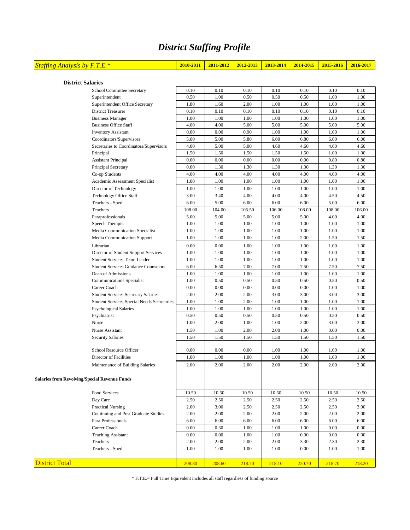### *District Staffing Profile*

| <b>Staffing Analysis by F.T.E.*</b> | $2010 - 2011$ | 2011-2012   2012-2013   2013-2014   2014-2015   2015-2016   2016-2017 |  |  |  |
|-------------------------------------|---------------|-----------------------------------------------------------------------|--|--|--|
|                                     |               |                                                                       |  |  |  |
| <b>District Salaries</b>            |               |                                                                       |  |  |  |

|                                                      | School Committee Secretary                  | 0.10   | 0.10   | 0.10   | 0.10   | 0.10     | 0.10   | 0.10   |
|------------------------------------------------------|---------------------------------------------|--------|--------|--------|--------|----------|--------|--------|
|                                                      | Superintendent                              | 0.50   | 1.00   | 0.50   | 0.50   | 0.50     | 1.00   | 1.00   |
|                                                      | Superintendent Office Secretary             | 1.80   | 1.60   | 2.00   | 1.00   | 1.00     | 1.00   | 1.00   |
|                                                      | <b>District Treasurer</b>                   | 0.10   | 0.10   | 0.10   | 0.10   | 0.10     | 0.10   | 0.10   |
|                                                      | <b>Business Manager</b>                     | 1.00   | 1.00   | 1.00   | 1.00   | 1.00     | 1.00   | 1.00   |
|                                                      | <b>Business Office Staff</b>                | 4.00   | 4.00   | 5.00   | 5.00   | 5.00     | 5.00   | 5.00   |
|                                                      | <b>Inventory Assistant</b>                  | 0.00   | 0.00   | 0.90   | 1.00   | 1.00     | 1.00   | 1.00   |
|                                                      | Coordinators/Supervisors                    | 5.00   | 5.00   | 5.80   | 6.00   | 6.80     | 6.00   | 6.00   |
|                                                      | Secretaries to Coordinators/Supervisors     | 4.00   | 5.00   | 5.00   | 4.60   | 4.60     | 4.60   | 4.60   |
|                                                      | Principal                                   | 1.50   | 1.50   | 1.50   | 1.50   | 1.50     | 1.00   | 1.00   |
|                                                      | <b>Assistant Principal</b>                  | 0.00   | 0.00   | 0.00   | 0.00   | 0.00     | 0.80   | 0.80   |
|                                                      | Principal Secretary                         | 0.00   | 1.30   | 1.30   | 1.30   | 1.30     | 1.30   | 1.30   |
|                                                      | Co-op Students                              | 4.00   | 4.00   | 4.00   | 4.00   | 4.00     | 4.00   | 4.00   |
|                                                      | Academic Assessment Specialist              | 1.00   | 1.00   | 1.00   | 1.00   | 1.00     | 1.00   | 1.00   |
|                                                      | Director of Technology                      | 1.00   | 1.00   | 1.00   | 1.00   | 1.00     | 1.00   | 1.00   |
|                                                      | <b>Technology Office Staff</b>              | 3.00   | 3.40   | 4.00   | 4.00   | 4.00     | 4.50   | 4.50   |
|                                                      | Teachers - Sped                             | 6.00   | 5.00   | 6.00   | 6.00   | 6.00     | 5.00   | 6.00   |
|                                                      | Teachers                                    | 108.00 | 104.00 | 105.50 | 106.00 | 108.00   | 108.00 | 106.00 |
|                                                      | Paraprofessionals                           | 5.00   | 5.00   | 5.00   | 5.00   | 5.00     | 4.00   | 4.00   |
|                                                      | Speech Therapist                            | 1.00   | 1.00   | 1.00   | 1.00   | 1.00     | 1.00   | 1.00   |
|                                                      | Media Communication Specialist              | 1.00   | 1.00   | 1.00   | 1.00   | 1.00     | 1.00   | 1.00   |
|                                                      | Media Communication Support                 | 1.00   | 1.00   | 1.00   | 1.00   | 2.00     | 1.50   | 1.50   |
|                                                      | Librarian                                   | 0.00   | 0.00   | 1.00   | 1.00   | $1.00\,$ | 1.00   | 1.00   |
|                                                      | Director of Student Support Services        | 1.00   | 1.00   | 1.00   | 1.00   | 1.00     | 1.00   | 1.00   |
|                                                      | Student Services Team Leader                | 1.00   | 1.00   | 1.00   | 1.00   | 1.00     | 1.00   | 1.00   |
|                                                      | <b>Student Services Guidance Counselors</b> | 6.00   | 6.50   | 7.00   | 7.00   | 7.50     | 7.50   | 7.50   |
|                                                      | Dean of Admissions                          | 1.00   | 1.00   | 1.00   | 1.00   | 1.00     | 1.00   | 1.00   |
|                                                      | Communications Specialist                   | 1.00   | 0.50   | 0.50   | 0.50   | 0.50     | 0.50   | 0.50   |
|                                                      | Career Coach                                | 0.00   | 0.00   | 0.00   | 0.00   | 0.00     | 1.00   | 1.00   |
|                                                      | <b>Student Services Secretary Salaries</b>  | 2.00   | 2.00   | 2.00   | 3.00   | 3.00     | 3.00   | 3.00   |
|                                                      | Student Services Special Needs Secretaries  | 1.00   | 1.00   | 2.00   | 1.00   | 1.00     | 1.00   | 1.00   |
|                                                      | <b>Psychological Salaries</b>               | 1.00   | 1.00   | 1.00   | 1.00   | 1.00     | 1.00   | 1.00   |
|                                                      | Psychiatrist                                | 0.50   | 0.50   | 0.50   | 0.50   | 0.50     | 0.50   | 0.50   |
|                                                      | Nurse                                       | 1.00   | 2.00   | 1.00   | 1.00   | 2.00     | 3.00   | 3.00   |
|                                                      | Nurse Assistant                             | 1.50   | 1.00   | 2.00   | 2.00   | 1.00     | 0.00   | 0.00   |
|                                                      | <b>Security Salaries</b>                    | 1.50   | 1.50   | 1.50   | 1.50   | 1.50     | 1.50   | 1.50   |
|                                                      |                                             |        |        |        |        |          |        |        |
|                                                      | School Resource Officer                     | 0.00   | 0.00   | 0.00   | 1.00   | 1.00     | 1.00   | 1.00   |
|                                                      | Director of Facilities                      | 1.00   | 1.00   | 1.00   | 1.00   | 1.00     | 1.00   | 1.00   |
|                                                      | Maintenance of Building Salaries            | 2.00   | 2.00   | 2.00   | 2.00   | 2.00     | 2.00   | 2.00   |
|                                                      |                                             |        |        |        |        |          |        |        |
| <b>Salaries from Revolving/Special Revenue Funds</b> |                                             |        |        |        |        |          |        |        |
|                                                      |                                             |        |        |        |        |          |        |        |
|                                                      | Food Services                               | 10.50  | 10.50  | 10.50  | 10.50  | 10.50    | 10.50  | 10.50  |
|                                                      | Day Care                                    | 2.50   | 2.50   | 2.50   | 2.50   | 2.50     | 2.50   | 2.50   |
|                                                      | <b>Practical Nursing</b>                    | 2.00   | 3.00   | 2.50   | 2.50   | 2.50     | 2.50   | 3.00   |
|                                                      | Continuing and Post Graduate Studies        | 2.00   | 2.00   | 2.00   | 2.00   | 2.00     | 2.00   | 2.00   |
|                                                      | Para Professionals                          | 6.00   | 6.00   | 6.00   | 6.00   | 6.00     | 6.00   | 6.00   |
|                                                      | Career Coach                                | 0.00   | 0.30   | 1.00   | 1.00   | 1.00     | 0.00   | 0.00   |
|                                                      | <b>Teaching Assistant</b>                   | 0.00   | 0.00   | 1.00   | 1.00   | 0.00     | 0.00   | 0.00   |
|                                                      | Teachers                                    | 2.00   | 2.00   | 2.00   | 2.00   | 3.30     | 2.30   | 2.30   |
|                                                      | Teachers - Sped                             | 1.00   | 1.00   | 1.00   | 1.00   | 0.00     | 1.00   | 1.00   |
|                                                      |                                             |        |        |        |        |          |        |        |
| <b>District Total</b>                                |                                             | 208.80 | 208.60 | 218.70 | 218.10 | 220.70   | 218.70 | 218.20 |

\* F.T.E.= Full Time Equivalent includes all staff regardless of funding source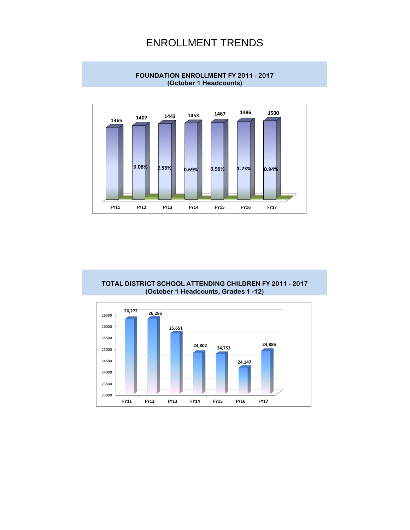### ENROLLMENT TRENDS



**FOUNDATION ENROLLMENT FY 2011 - 2017 (October 1 Headcounts)**

**TOTAL DISTRICT SCHOOL ATTENDING CHILDREN FY 2011 - 2017 (October 1 Headcounts, Grades 1 -12)**

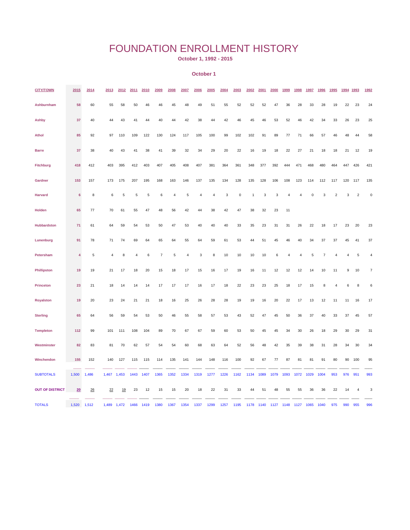### FOUNDATION ENROLLMENT HISTORY

 **October 1, 1992 - 2015**

#### **October 1**

| <b>CITY/TOWN</b>       | 2015            | 2014  | 2013  | 2012  | 2011 | 2010 | 2009 | 2008           | 2007 | 2006 | 2005           | 2004 | 2003      | 2002 | 2001 | 2000 | 1999           | 1998           | 1997           | 1996 | 1995           | 1994 | 1993           | 1992                      |
|------------------------|-----------------|-------|-------|-------|------|------|------|----------------|------|------|----------------|------|-----------|------|------|------|----------------|----------------|----------------|------|----------------|------|----------------|---------------------------|
| Ashburnham             | 58              | 60    | 55    | 58    | 50   | 46   | 46   | 45             | 48   | 49   | 51             | 55   | 52        | 52   | 52   | 47   | 36             | 28             | 33             | 28   | 19             | 22   | 23             | 24                        |
| <b>Ashby</b>           | 37              | 40    | 44    | 43    | 41   | 44   | 40   | 44             | 42   | 38   | 44             | 42   | 46        | 45   | 46   | 53   | 52             | 46             | 42             | 34   | 33             | 26   | 23             | 25                        |
| <b>Athol</b>           | 85              | 92    | 97    | 110   | 109  | 122  | 130  | 124            | 117  | 105  | 100            | 99   | 102       | 102  | 91   | 89   | 77             | 71             | 66             | 57   | 46             | 48   | 44             | 58                        |
| <b>Barre</b>           | 37              | 38    | 40    | 43    | 41   | 38   | 41   | 39             | 32   | 34   | 29             | 20   | 22        | 16   | 19   | 18   | 22             | 27             | 21             | 18   | 18             | 21   | 12             | 19                        |
| Fitchburg              | 418             | 412   | 403   | 395   | 412  | 403  | 407  | 405            | 408  | 407  | 381            | 364  | 361       | 348  | 377  | 392  | 444            | 471            | 468            | 480  | 464            | 447  | 426            | 421                       |
| Gardner                | 153             | 157   | 173   | 175   | 207  | 195  | 168  | 163            | 146  | 137  | 135            | 134  | 128       | 135  | 128  | 106  | 108            | 123            | 114            | 112  | 117            | 120  | 117            | 135                       |
| <b>Harvard</b>         | $6\phantom{1}6$ | 8     | 6     | 5     | 5    | 5    | 6    | $\overline{4}$ | 5    | 4    | $\overline{4}$ | 3    | $\pmb{0}$ | 1    | 3    | 3    | $\overline{4}$ | $\overline{4}$ | $\overline{0}$ | 3    | $\overline{2}$ | 3    | $\overline{2}$ | $\pmb{0}$                 |
| Holden                 | 65              | 77    | 70    | 61    | 55   | 47   | 48   | 56             | 42   | 44   | 38             | 42   | 47        | 38   | 32   | 23   | 11             |                |                |      |                |      |                |                           |
| Hubbardston            | 71              | 61    | 64    | 59    | 54   | 53   | 50   | 47             | 53   | 40   | 40             | 40   | 33        | 35   | 23   | 31   | 31             | 26             | 22             | 18   | 17             | 23   | 20             | 23                        |
| Lunenburg              | 91              | 78    | 71    | 74    | 69   | 64   | 65   | 64             | 55   | 64   | 59             | 61   | 53        | 44   | 51   | 45   | 46             | 40             | 34             | 37   | 37             | 45   | 41             | 37                        |
| Petersham              | 4               | 5     | 4     | 8     | 4    | 6    | 7    | 5              | 4    | 3    | 8              | 10   | 10        | 10   | 10   | 6    | 4              | 4              | 5              | 7    | 4              | 4    | 5              | $\sqrt{4}$                |
| <b>Phillipston</b>     | 19              | 19    | 21    | 17    | 18   | 20   | 15   | 18             | 17   | 15   | 16             | 17   | 19        | 16   | 11   | 12   | 12             | 12             | 14             | 10   | 11             | 9    | 10             | $\overline{\mathfrak{c}}$ |
| <b>Princeton</b>       | 23              | 21    | 18    | 14    | 14   | 14   | 17   | 17             | 17   | 16   | 17             | 18   | 22        | 23   | 23   | 25   | 18             | 17             | 15             | 8    | $\overline{4}$ | 6    | 8              | 6                         |
| <b>Royalston</b>       | 19              | 20    | 23    | 24    | 21   | 21   | 18   | 16             | 25   | 26   | 28             | 28   | 19        | 19   | 16   | 20   | 22             | 17             | 13             | 12   | 11             | 11   | 16             | 17                        |
| <b>Sterling</b>        | 65              | 64    | 56    | 59    | 54   | 53   | 50   | 46             | 55   | 58   | 57             | 53   | 43        | 52   | 47   | 45   | 50             | 36             | 37             | 40   | 33             | 37   | 45             | 57                        |
| <b>Templeton</b>       | 112             | 99    | 101   | 111   | 108  | 104  | 89   | 70             | 67   | 67   | 59             | 60   | 53        | 50   | 45   | 45   | 34             | 30             | 26             | 18   | 29             | 30   | 29             | 31                        |
| Westminster            | 82              | 83    | 81    | 70    | 62   | 57   | 54   | 54             | 60   | 68   | 63             | 64   | 52        | 56   | 48   | 42   | 35             | 39             | 38             | 31   | 28             | 34   | 30             | 34                        |
| Winchendon             | 155             | 152   | 140   | 127   | 115  | 115  | 114  | 135            | 141  | 144  | 148            | 116  | 100       | 92   | 67   | 77   | 87             | 81             | 81             | 91   | 80             | 90   | 100            | 95                        |
| <b>SUBTOTALS</b>       | 1,500           | 1,486 | 1,467 | 1,453 | 1443 | 1407 | 1365 | 1352           | 1334 | 1319 | 1277           | 1226 | 1162      | 1134 | 1089 | 1079 | 1093           | 1072           | 1029           | 1004 | 953            | 976  | 951            | 993                       |
| <b>OUT OF DISTRICT</b> | 20              | 26    | 22    | 19    | 23   | 12   | 15   | 15             | 20   | 18   | 22             | 31   | 33        | 44   | 51   | 48   | 55             | 55             | 36             | 36   | 22             | 14   | $\overline{4}$ | 3                         |
| <b>TOTALS</b>          | 1,520           | 1,512 | 1,489 | 1,472 | 1466 | 1419 | 1380 | 1367           | 1354 | 1337 | 1299           | 1257 | 1195      | 1178 | 1140 | 1127 | 1148           | 1127           | 1065           | 1040 | 975            | 990  | 955            | 996                       |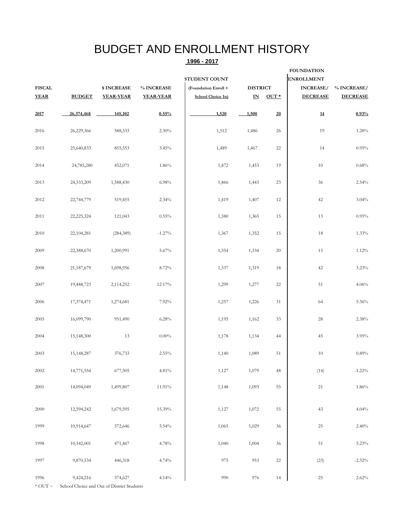## BUDGET AND ENROLLMENT HISTORY

#### **1996 - 2017**

|               |               |                  |                  |                      |                 |                   | <b>FOUNDATION</b> |                 |  |  |  |  |
|---------------|---------------|------------------|------------------|----------------------|-----------------|-------------------|-------------------|-----------------|--|--|--|--|
|               |               |                  |                  | <b>STUDENT COUNT</b> |                 | <b>ENROLLMENT</b> |                   |                 |  |  |  |  |
| <b>FISCAL</b> |               | \$INCREASE       | % INCREASE       | (Foundation Enroll + | <b>DISTRICT</b> |                   | <b>INCREASE/</b>  | % INCREASE/     |  |  |  |  |
| <b>YEAR</b>   | <b>BUDGET</b> | <b>YEAR-YEAR</b> | <b>YEAR-YEAR</b> | School Choice In)    | ${\bf I\!N}$    | $OUT*$            | <b>DECREASE</b>   | <b>DECREASE</b> |  |  |  |  |
| 2017          | 26,374,468    | 145,102          | 0.55%            | 1,520                | 1,500           | 20                | $\underline{14}$  | 0.93%           |  |  |  |  |
| 2016          | 26,229,366    | 588,533          | 2.30%            | 1,512                | 1,486           | 26                | 19                | 1.28%           |  |  |  |  |
| 2015          | 25,640,833    | 855,553          | 3.45%            | 1,489                | 1,467           | 22                | 14                | 0.95%           |  |  |  |  |
| 2014          | 24,785,280    | 452,071          | 1.86%            | 1,472                | 1,453           | 19                | 10                | 0.68%           |  |  |  |  |
| 2013          | 24,333,209    | 1,588,430        | 6.98%            | 1,466                | 1,443           | 23                | 36                | 2.54%           |  |  |  |  |
| 2012          | 22,744,779    | 519,455          | 2.34%            | 1,419                | 1,407           | 12                | 42                | 3.04%           |  |  |  |  |
| 2011          | 22,225,324    | 121,043          | 0.55%            | 1,380                | 1,365           | 15                | 13                | 0.95%           |  |  |  |  |
| 2010          | 22,104,281    | (284, 389)       | $-1.27\%$        | 1,367                | 1,352           | 15                | $18\,$            | 1.33%           |  |  |  |  |
| 2009          | 22,388,670    | 1,200,991        | 5.67%            | 1,354                | 1,334           | $20\,$            | 15                | 1.12%           |  |  |  |  |
| 2008          | 21,187,679    | 1,698,956        | 8.72%            | 1,337                | 1,319           | 18                | 42                | $3.23\%$        |  |  |  |  |
| 2007          | 19,488,723    | 2,114,252        | 12.17%           | 1,299                | 1,277           | 22                | 51                | 4.06%           |  |  |  |  |
| 2006          | 17,374,471    | 1,274,681        | 7.92%            | 1,257                | 1,226           | 31                | 64                | 5.36%           |  |  |  |  |
| 2005          | 16,099,790    | 951,490          | 6.28%            | 1,195                | 1,162           | 33                | 28                | 2.38%           |  |  |  |  |
| 2004          | 15,148,300    | 13               | $0.00\%$         | 1,178                | 1,134           | 44                | 45                | 3.95%           |  |  |  |  |
| 2003          | 15,148,287    | 376,733          | 2.55%            | 1,140                | 1,089           | 51                | 10                | 0.89%           |  |  |  |  |
| $2002\,$      | 14,771,554    | 677,505          | $4.81\%$         | 1,127                | 1,079           | 48                | (14)              | $-1.22\%$       |  |  |  |  |
| 2001          | 14,094,049    | 1,499,807        | $11.91\%$        | 1,148                | 1,093           | 55                | $21\,$            | $1.86\%$        |  |  |  |  |
| $2000\,$      | 12,594,242    | 1,679,595        | 15.39%           | 1,127                | 1,072           | 55                | $43\,$            | 4.04%           |  |  |  |  |
| 1999          | 10,914,647    | 572,646          | 5.54%            | 1,065                | 1,029           | $36\,$            | $25\,$            | $2.40\%$        |  |  |  |  |
| 1998          | 10,342,001    | 471,467          | 4.78%            | 1,040                | 1,004           | $36\,$            | $51\,$            | $5.23\%$        |  |  |  |  |
| 1997          | 9,870,534     | 446,318          | 4.74%            | 975                  | 953             | $22\,$            | (23)              | $-2.32\%$       |  |  |  |  |
| 1996          | 9,424,216     | 374,627          | 4.14%            | 990                  | 976             | $14\,$            | $25\,$            | $2.62\%$        |  |  |  |  |

\* OUT ~ School Choice and Out of District Students